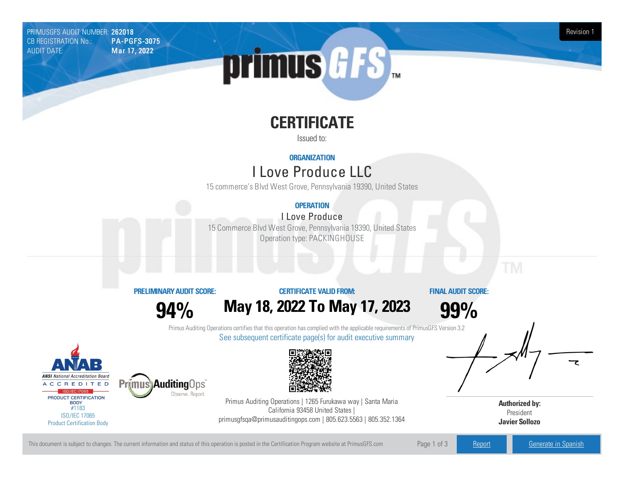PRIMUSGFS AUDIT NUMBER: 262018 Revision 1 New York 1999 PRIMUSGFS AUDIT NUMBER: 262018<br>CB REGISTRATION No.: PA-PGFS-3075 CB REGISTRATION No.: AUDIT DATE: Mar 17, 2022



# **CERTIFICATE**

Issued to:

## **ORGANIZATION**

## ILove Produce LLC

15 commerce's Blvd West Grove, Pennsylvania 19390, United States

## **OPERATION**

## ILove Produce

15 Commerce Blvd West Grove, Pennsylvania 19390, United States Operation type: PACKINGHOUSE

### **PRELIMINARYAUDIT SCORE:**

**94%**

Observe, Report.

## **CERTIFICATE VALIDFROM: May18, 2022 To May17, 2023**

**FINAL AUDIT SCORE:**

**99%**

Primus Auditing Operations certifies that this operation has complied with the applicable requirements of PrimusGFS Version 3.2 See subsequent certificate page(s) for audit executive summary





Primus Auditing Operations | 1265 Furukawa way | Santa Maria California 93458 United States | primusgfsqa@primusauditingops.com | 805.623.5563 | 805.352.1364



This document is subject to changes. The current information and status of this operation is posted in the Certification Program website at PrimusGFS.com Page 1 of 3 [Report](https://secure.azzule.com/PGFSDocuments/PGFS_AuditReport262018_899_2_EN.pdf) Report [Generate](https://secure.azzule.com/PrimusGFSAudits/pdfGenerator.aspx?AuditHeaderID=21280658482335387056651471478256471518911&AppId=51737062251&LanguageID=1&UserId=1) in Spanish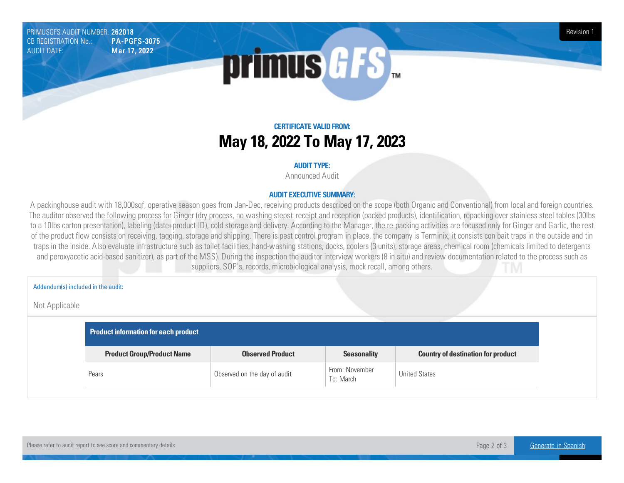PRIMUSGFS AUDIT NUMBER: 262018 Revision 1<br>CB REGISTRATION No.: PA-PGFS-3075 CB REGISTRATION No.: AUDIT DATE: Mar 17, 2022



## **CERTIFICATE VALIDFROM: May18, 2022 To May17, 2023**

#### **AUDIT TYPE:**

Announced Audit

#### **AUDIT EXECUTIVE SUMMARY:**

A packinghouse audit with 18,000sqf, operative season goes from Jan-Dec, receiving products described on the scope (both Organic and Conventional) from local and foreign countries. The auditor observed the following process for Ginger (dry process, no washing steps): receipt and reception (packed products), identification, repacking over stainless steel tables (30lbs to a 10lbs carton presentation), labeling (date+product-ID), cold storage and delivery. According to the Manager, the re-packing activities are focused only for Ginger and Garlic, the rest of the product flow consists on receiving, tagging, storage and shipping. There is pest control program in place, the company is Terminix, it consists con bait traps in the outside and tin traps in the inside. Also evaluate infrastructure such as toilet facilities, hand-washing stations, docks, coolers (3 units), storage areas, chemical room (chemicals limited to detergents and peroxyacetic acid-based sanitizer), as part of the MSS). During the inspection the auditor interview workers (8 in situ) and review documentation related to the process such as suppliers, SOP's, records, microbiological analysis, mock recall, among others.

Addendum(s) included in the audit:

#### Not Applicable

| Product information for each product |                              |                             |                                           |  |
|--------------------------------------|------------------------------|-----------------------------|-------------------------------------------|--|
| <b>Product Group/Product Name</b>    | <b>Observed Product</b>      | <b>Seasonality</b>          | <b>Country of destination for product</b> |  |
| Pears                                | Observed on the day of audit | From: November<br>To: March | <b>United States</b>                      |  |